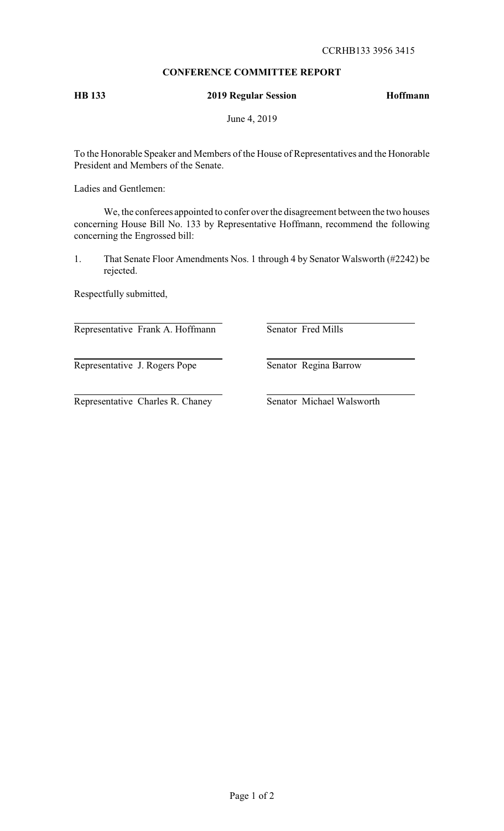## **CONFERENCE COMMITTEE REPORT**

# **HB 133 2019 Regular Session Hoffmann**

June 4, 2019

To the Honorable Speaker and Members of the House of Representatives and the Honorable President and Members of the Senate.

Ladies and Gentlemen:

We, the conferees appointed to confer over the disagreement between the two houses concerning House Bill No. 133 by Representative Hoffmann, recommend the following concerning the Engrossed bill:

1. That Senate Floor Amendments Nos. 1 through 4 by Senator Walsworth (#2242) be rejected.

Respectfully submitted,

Representative Frank A. Hoffmann Senator Fred Mills

Representative J. Rogers Pope Senator Regina Barrow

Representative Charles R. Chaney Senator Michael Walsworth